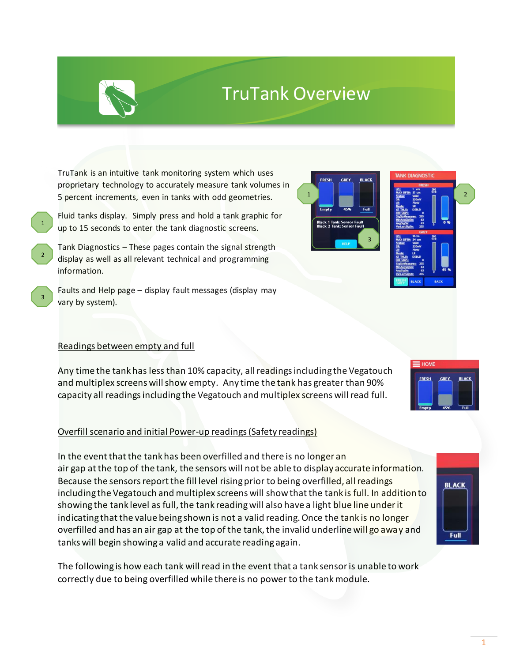1

# TruTank Overview

1

TruTank is an intuitive tank monitoring system which uses proprietary technology to accurately measure tank volumes in 5 percent increments, even in tanks with odd geometries.

- Fluid tanks display. Simply press and hold a tank graphic for up to 15 seconds to enter the tank diagnostic screens.
- Tank Diagnostics These pages contain the signal strength display as well as all relevant technical and programming information.
- Faults and Help page display fault messages (display may vary by system).

### Readings between empty and full

2

3

1

Any time the tank has less than 10% capacity, all readings including the Vegatouch and multiplex screens will show empty. Any time the tank has greater than 90% capacity all readings including the Vegatouch and multiplex screens will read full.

### Overfill scenario and initial Power-up readings (Safety readings)

In the event that the tank has been overfilled and there is no longer an air gap at the top of the tank, the sensors will not be able to display accurate information. Because the sensors report the fill level rising prior to being overfilled, all readings including the Vegatouch and multiplex screens will show that the tank is full. In addition to showing the tank level as full, the tank reading will also have a light blue line under it indicating that the value being shown is not a valid reading. Once the tank is no longer overfilled and has an air gap at the top of the tank, the invalid underline will go away and tanks will begin showing a valid and accurate reading again.

The following is how each tank will read in the event that a tank sensor is unable to work correctly due to being overfilled while there is no power to the tank module.

3







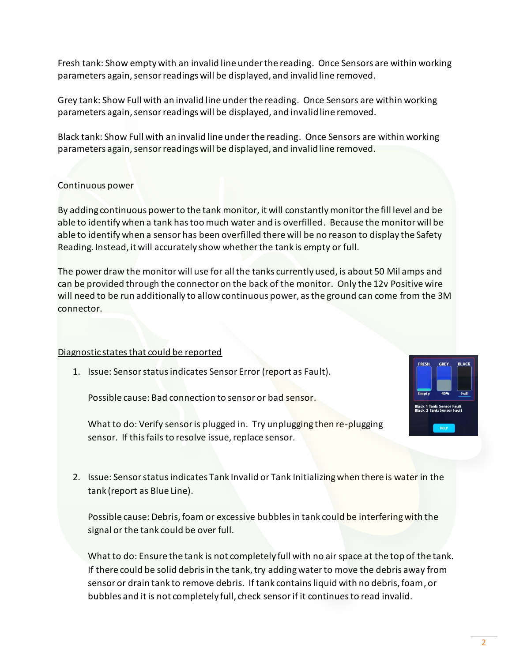Fresh tank: Show empty with an invalid line under the reading. Once Sensors are within working parameters again, sensor readings will be displayed, and invalid line removed.

Grey tank: Show Full with an invalid line under the reading. Once Sensors are within working parameters again, sensor readings will be displayed, and invalid line removed.

Black tank: Show Full with an invalid line under the reading. Once Sensors are within working parameters again, sensor readings will be displayed, and invalid line removed.

#### Continuous power

By adding continuous power to the tank monitor, it will constantly monitor the fill level and be able to identify when a tank has too much water and is overfilled. Because the monitor will be able to identify when a sensor has been overfilled there will be no reason to display the Safety Reading. Instead, it will accurately show whether the tank is empty or full.

The power draw the monitor will use for all the tanks currently used, is about 50 Mil amps and can be provided through the connector on the back of the monitor. Only the 12v Positive wire will need to be run additionally to allow continuous power, as the ground can come from the 3M connector.

#### Diagnostic states that could be reported

1. Issue: Sensor status indicates Sensor Error (report as Fault).

Possible cause: Bad connection to sensor or bad sensor.

What to do: Verify sensor is plugged in. Try unplugging then re-plugging sensor. If this fails to resolve issue, replace sensor.

2. Issue: Sensor status indicates Tank Invalid or Tank Initializing when there is water in the tank (report as Blue Line).

Possible cause: Debris, foam or excessive bubbles in tank could be interfering with the signal or the tank could be over full.

What to do: Ensure the tank is not completely full with no air space at the top of the tank. If there could be solid debris in the tank, try adding water to move the debris away from sensor or drain tank to remove debris. If tank contains liquid with no debris, foam, or bubbles and it is not completely full, check sensor if it continues to read invalid.

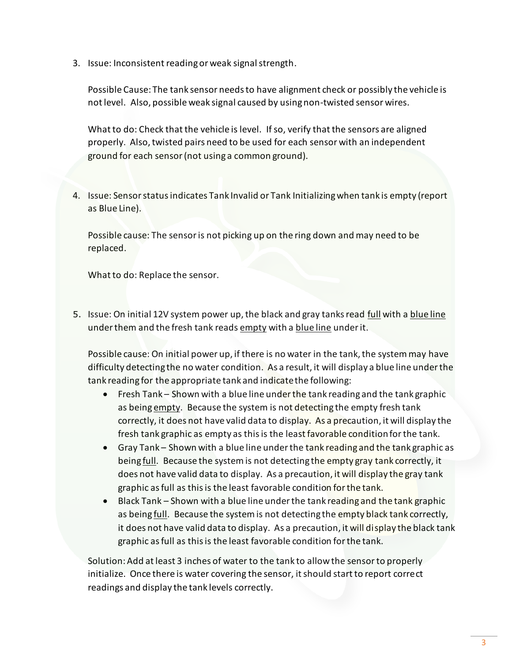3. Issue: Inconsistent reading or weak signal strength.

Possible Cause: The tank sensor needs to have alignment check or possibly the vehicle is not level. Also, possible weak signal caused by using non-twisted sensor wires.

What to do: Check that the vehicle is level. If so, verify that the sensors are aligned properly. Also, twisted pairs need to be used for each sensor with an independent ground for each sensor (not using a common ground).

4. Issue: Sensor status indicates Tank Invalid or Tank Initializing when tank is empty (report as Blue Line).

Possible cause: The sensor is not picking up on the ring down and may need to be replaced.

What to do: Replace the sensor.

5. Issue: On initial 12V system power up, the black and gray tanks read full with a blue line under them and the fresh tank reads empty with a blue line under it.

Possible cause: On initial power up, if there is no water in the tank, the system may have difficulty detecting the no water condition. As a result, it will display a blue line under the tank reading for the appropriate tank and indicate the following:

- Fresh Tank Shown with a blue line under the tank reading and the tank graphic as being empty. Because the system is not detecting the empty fresh tank correctly, it does not have valid data to display. As a precaution, it will display the fresh tank graphic as empty as this is the least favorable condition for the tank.
- Gray Tank Shown with a blue line under the tank reading and the tank graphic as being full. Because the system is not detecting the empty gray tank correctly, it does not have valid data to display. As a precaution, it will display the gray tank graphic as full as this is the least favorable condition for the tank.
- Black Tank Shown with a blue line under the tank reading and the tank graphic as being full. Because the system is not detecting the empty black tank correctly, it does not have valid data to display. As a precaution, it will display the black tank graphic as full as this is the least favorable condition for the tank.

Solution: Add at least 3 inches of water to the tank to allow the sensor to properly initialize. Once there is water covering the sensor, it should start to report correct readings and display the tank levels correctly.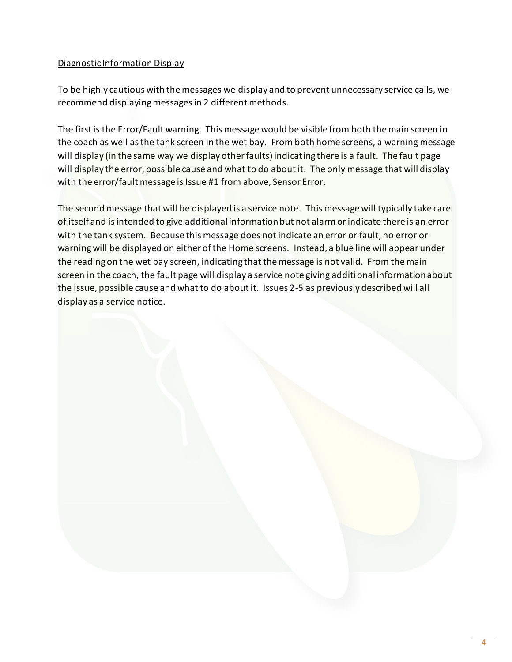#### Diagnostic Information Display

To be highly cautious with the messages we display and to prevent unnecessary service calls, we recommend displaying messages in 2 different methods.

The first is the Error/Fault warning. This message would be visible from both the main screen in the coach as well as the tank screen in the wet bay. From both home screens, a warning message will display (in the same way we display other faults) indicating there is a fault. The fault page will display the error, possible cause and what to do about it. The only message that will display with the error/fault message is Issue #1 from above, Sensor Error.

The second message that will be displayed is a service note. This message will typically take care of itself and is intended to give additional information but not alarm or indicate there is an error with the tank system. Because this message does not indicate an error or fault, no error or warning will be displayed on either of the Home screens. Instead, a blue line will appear under the reading on the wet bay screen, indicating that the message is not valid. From the main screen in the coach, the fault page will display a service note giving additional information about the issue, possible cause and what to do about it. Issues 2-5 as previously described will all display as a service notice.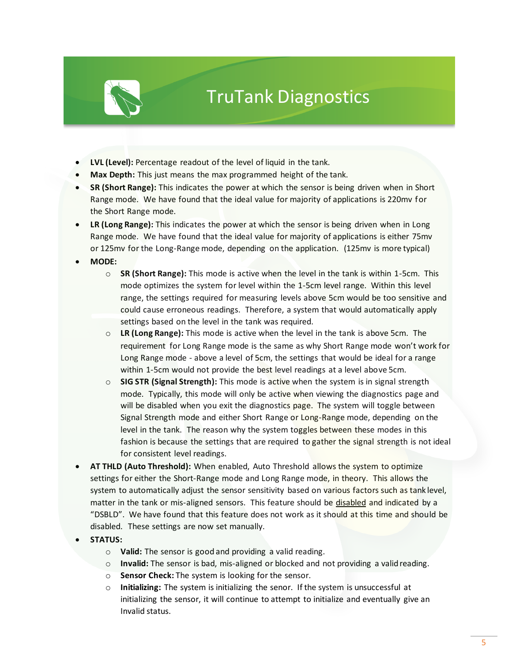

## TruTank Diagnostics

- **LVL (Level):** Percentage readout of the level of liquid in the tank.
- **Max Depth:** This just means the max programmed height of the tank.
- **SR (Short Range):** This indicates the power at which the sensor is being driven when in Short Range mode. We have found that the ideal value for majority of applications is 220mv for the Short Range mode.
- **LR (Long Range):** This indicates the power at which the sensor is being driven when in Long Range mode. We have found that the ideal value for majority of applications is either 75mv or 125mv for the Long-Range mode, depending on the application. (125mv is more typical)
- **MODE:**
	- o **SR (Short Range):** This mode is active when the level in the tank is within 1-5cm. This mode optimizes the system for level within the 1-5cm level range. Within this level range, the settings required for measuring levels above 5cm would be too sensitive and could cause erroneous readings. Therefore, a system that would automatically apply settings based on the level in the tank was required.
	- o **LR (Long Range):** This mode is active when the level in the tank is above 5cm. The requirement for Long Range mode is the same as why Short Range mode won't work for Long Range mode - above a level of 5cm, the settings that would be ideal for a range within 1-5cm would not provide the best level readings at a level above 5cm.
	- o **SIG STR (Signal Strength):** This mode is active when the system is in signal strength mode. Typically, this mode will only be active when viewing the diagnostics page and will be disabled when you exit the diagnostics page. The system will toggle between Signal Strength mode and either Short Range or Long-Range mode, depending on the level in the tank. The reason why the system toggles between these modes in this fashion is because the settings that are required to gather the signal strength is not ideal for consistent level readings.
- **AT THLD (Auto Threshold):** When enabled, Auto Threshold allows the system to optimize settings for either the Short-Range mode and Long Range mode, in theory. This allows the system to automatically adjust the sensor sensitivity based on various factors such as tank level, matter in the tank or mis-aligned sensors. This feature should be disabled and indicated by a "DSBLD". We have found that this feature does not work as it should at this time and should be disabled. These settings are now set manually.
- **STATUS:**
	- o **Valid:** The sensor is good and providing a valid reading.
	- o **Invalid:** The sensor is bad, mis-aligned or blocked and not providing a validreading.
	- o **Sensor Check:** The system is looking for the sensor.
	- o **Initializing:** The system is initializing the senor. If the system is unsuccessful at initializing the sensor, it will continue to attempt to initialize and eventually give an Invalid status.